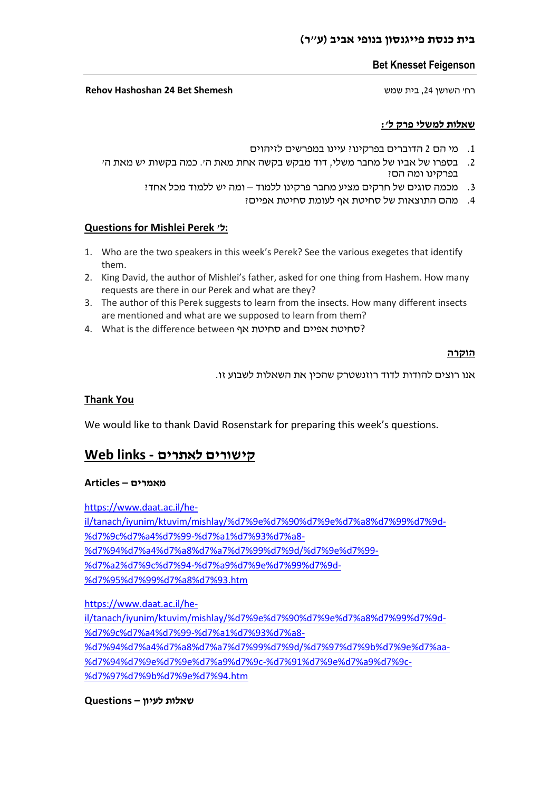#### **בית כנסת פייגנסון בנופי אביב )ע"ר(**

#### **Bet Knesset Feigenson**

#### רח' השושן ,24 בית שמש **Shemesh Bet 24 Hashoshan Rehov**

### **שאלות למשלי פרק ל':**

- .1 מי הם 2 הדוברים בפרקינו? עיינו במפרשים לזיהוים
- .2 בספרו של אביו של מחבר משלי, דוד מבקש בקשה אחת מאת ה׳. כמה בקשות יש מאת ה׳ בפרקינו ומה הם?
	- .3 מכמה סוגים של חרקים מציע מחבר פרקינו ללמוד ומה יש ללמוד מכל אחד?
		- .4 מהם התוצאות של סחיטת אף לעומת סחיטת אפיים?

#### **Questions for Mishlei Perek 'ל:**

- 1. Who are the two speakers in this week's Perek? See the various exegetes that identify them.
- 2. King David, the author of Mishlei's father, asked for one thing from Hashem. How many requests are there in our Perek and what are they?
- 3. The author of this Perek suggests to learn from the insects. How many different insects are mentioned and what are we supposed to learn from them?
- 4. What is the difference between אף סחיטת and אפיים סחיטת?

#### **הוקרה**

אנו רוצים להודות לדוד רוזנשטרק שהכין את השאלות לשבוע זו.

#### **Thank You**

We would like to thank David Rosenstark for preparing this week's questions.

## **קישורים לאתרים - links Web**

#### **מאמרים – Articles**

[https://www.daat.ac.il/he](https://www.daat.ac.il/he-il/tanach/iyunim/ktuvim/mishlay/%d7%9e%d7%90%d7%9e%d7%a8%d7%99%d7%9d-%d7%9c%d7%a4%d7%99-%d7%a1%d7%93%d7%a8-%d7%94%d7%a4%d7%a8%d7%a7%d7%99%d7%9d/%d7%9e%d7%99-%d7%a2%d7%9c%d7%94-%d7%a9%d7%9e%d7%99%d7%9d-%d7%95%d7%99%d7%a8%d7%93.htm)[il/tanach/iyunim/ktuvim/mishlay/%d7%9e%d7%90%d7%9e%d7%a8%d7%99%d7%9d-](https://www.daat.ac.il/he-il/tanach/iyunim/ktuvim/mishlay/%d7%9e%d7%90%d7%9e%d7%a8%d7%99%d7%9d-%d7%9c%d7%a4%d7%99-%d7%a1%d7%93%d7%a8-%d7%94%d7%a4%d7%a8%d7%a7%d7%99%d7%9d/%d7%9e%d7%99-%d7%a2%d7%9c%d7%94-%d7%a9%d7%9e%d7%99%d7%9d-%d7%95%d7%99%d7%a8%d7%93.htm) [%d7%9c%d7%a4%d7%99-%d7%a1%d7%93%d7%a8-](https://www.daat.ac.il/he-il/tanach/iyunim/ktuvim/mishlay/%d7%9e%d7%90%d7%9e%d7%a8%d7%99%d7%9d-%d7%9c%d7%a4%d7%99-%d7%a1%d7%93%d7%a8-%d7%94%d7%a4%d7%a8%d7%a7%d7%99%d7%9d/%d7%9e%d7%99-%d7%a2%d7%9c%d7%94-%d7%a9%d7%9e%d7%99%d7%9d-%d7%95%d7%99%d7%a8%d7%93.htm) [%d7%94%d7%a4%d7%a8%d7%a7%d7%99%d7%9d/%d7%9e%d7%99-](https://www.daat.ac.il/he-il/tanach/iyunim/ktuvim/mishlay/%d7%9e%d7%90%d7%9e%d7%a8%d7%99%d7%9d-%d7%9c%d7%a4%d7%99-%d7%a1%d7%93%d7%a8-%d7%94%d7%a4%d7%a8%d7%a7%d7%99%d7%9d/%d7%9e%d7%99-%d7%a2%d7%9c%d7%94-%d7%a9%d7%9e%d7%99%d7%9d-%d7%95%d7%99%d7%a8%d7%93.htm) [%d7%a2%d7%9c%d7%94-%d7%a9%d7%9e%d7%99%d7%9d-](https://www.daat.ac.il/he-il/tanach/iyunim/ktuvim/mishlay/%d7%9e%d7%90%d7%9e%d7%a8%d7%99%d7%9d-%d7%9c%d7%a4%d7%99-%d7%a1%d7%93%d7%a8-%d7%94%d7%a4%d7%a8%d7%a7%d7%99%d7%9d/%d7%9e%d7%99-%d7%a2%d7%9c%d7%94-%d7%a9%d7%9e%d7%99%d7%9d-%d7%95%d7%99%d7%a8%d7%93.htm) [%d7%95%d7%99%d7%a8%d7%93.htm](https://www.daat.ac.il/he-il/tanach/iyunim/ktuvim/mishlay/%d7%9e%d7%90%d7%9e%d7%a8%d7%99%d7%9d-%d7%9c%d7%a4%d7%99-%d7%a1%d7%93%d7%a8-%d7%94%d7%a4%d7%a8%d7%a7%d7%99%d7%9d/%d7%9e%d7%99-%d7%a2%d7%9c%d7%94-%d7%a9%d7%9e%d7%99%d7%9d-%d7%95%d7%99%d7%a8%d7%93.htm)

[https://www.daat.ac.il/he](https://www.daat.ac.il/he-il/tanach/iyunim/ktuvim/mishlay/%d7%9e%d7%90%d7%9e%d7%a8%d7%99%d7%9d-%d7%9c%d7%a4%d7%99-%d7%a1%d7%93%d7%a8-%d7%94%d7%a4%d7%a8%d7%a7%d7%99%d7%9d/%d7%97%d7%9b%d7%9e%d7%aa-%d7%94%d7%9e%d7%9e%d7%a9%d7%9c-%d7%91%d7%9e%d7%a9%d7%9c-%d7%97%d7%9b%d7%9e%d7%94.htm)[il/tanach/iyunim/ktuvim/mishlay/%d7%9e%d7%90%d7%9e%d7%a8%d7%99%d7%9d-](https://www.daat.ac.il/he-il/tanach/iyunim/ktuvim/mishlay/%d7%9e%d7%90%d7%9e%d7%a8%d7%99%d7%9d-%d7%9c%d7%a4%d7%99-%d7%a1%d7%93%d7%a8-%d7%94%d7%a4%d7%a8%d7%a7%d7%99%d7%9d/%d7%97%d7%9b%d7%9e%d7%aa-%d7%94%d7%9e%d7%9e%d7%a9%d7%9c-%d7%91%d7%9e%d7%a9%d7%9c-%d7%97%d7%9b%d7%9e%d7%94.htm) [%d7%9c%d7%a4%d7%99-%d7%a1%d7%93%d7%a8-](https://www.daat.ac.il/he-il/tanach/iyunim/ktuvim/mishlay/%d7%9e%d7%90%d7%9e%d7%a8%d7%99%d7%9d-%d7%9c%d7%a4%d7%99-%d7%a1%d7%93%d7%a8-%d7%94%d7%a4%d7%a8%d7%a7%d7%99%d7%9d/%d7%97%d7%9b%d7%9e%d7%aa-%d7%94%d7%9e%d7%9e%d7%a9%d7%9c-%d7%91%d7%9e%d7%a9%d7%9c-%d7%97%d7%9b%d7%9e%d7%94.htm) [%d7%94%d7%a4%d7%a8%d7%a7%d7%99%d7%9d/%d7%97%d7%9b%d7%9e%d7%aa-](https://www.daat.ac.il/he-il/tanach/iyunim/ktuvim/mishlay/%d7%9e%d7%90%d7%9e%d7%a8%d7%99%d7%9d-%d7%9c%d7%a4%d7%99-%d7%a1%d7%93%d7%a8-%d7%94%d7%a4%d7%a8%d7%a7%d7%99%d7%9d/%d7%97%d7%9b%d7%9e%d7%aa-%d7%94%d7%9e%d7%9e%d7%a9%d7%9c-%d7%91%d7%9e%d7%a9%d7%9c-%d7%97%d7%9b%d7%9e%d7%94.htm) [%d7%94%d7%9e%d7%9e%d7%a9%d7%9c-%d7%91%d7%9e%d7%a9%d7%9c-](https://www.daat.ac.il/he-il/tanach/iyunim/ktuvim/mishlay/%d7%9e%d7%90%d7%9e%d7%a8%d7%99%d7%9d-%d7%9c%d7%a4%d7%99-%d7%a1%d7%93%d7%a8-%d7%94%d7%a4%d7%a8%d7%a7%d7%99%d7%9d/%d7%97%d7%9b%d7%9e%d7%aa-%d7%94%d7%9e%d7%9e%d7%a9%d7%9c-%d7%91%d7%9e%d7%a9%d7%9c-%d7%97%d7%9b%d7%9e%d7%94.htm) [%d7%97%d7%9b%d7%9e%d7%94.htm](https://www.daat.ac.il/he-il/tanach/iyunim/ktuvim/mishlay/%d7%9e%d7%90%d7%9e%d7%a8%d7%99%d7%9d-%d7%9c%d7%a4%d7%99-%d7%a1%d7%93%d7%a8-%d7%94%d7%a4%d7%a8%d7%a7%d7%99%d7%9d/%d7%97%d7%9b%d7%9e%d7%aa-%d7%94%d7%9e%d7%9e%d7%a9%d7%9c-%d7%91%d7%9e%d7%a9%d7%9c-%d7%97%d7%9b%d7%9e%d7%94.htm)

#### **שאלות לעיון – Questions**